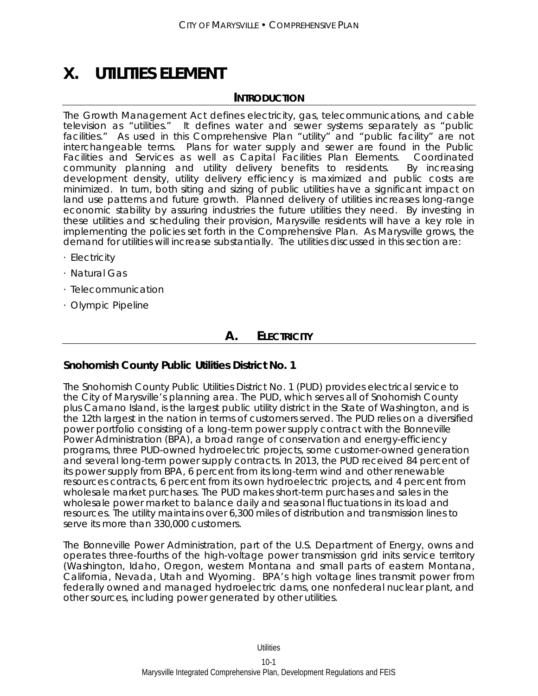# **X. UTILITIES ELEMENT**

# **INTRODUCTION**

The Growth Management Act defines electricity, gas, telecommunications, and cable television as "utilities." It defines water and sewer systems separately as "public facilities." As used in this Comprehensive Plan "utility" and "public facility" are not interchangeable terms. Plans for water supply and sewer are found in the Public Facilities and Services as well as Capital Facilities Plan Elements. Coordinated community planning and utility delivery benefits to residents. By increasing development density, utility delivery efficiency is maximized and public costs are minimized. In turn, both siting and sizing of public utilities have a significant impact on land use patterns and future growth. Planned delivery of utilities increases long-range economic stability by assuring industries the future utilities they need. By investing in these utilities and scheduling their provision, Marysville residents will have a key role in implementing the policies set forth in the Comprehensive Plan. As Marysville grows, the demand for utilities will increase substantially. The utilities discussed in this section are:

- · Electricity
- · Natural Gas
- · Telecommunication
- · Olympic Pipeline

# **A. ELECTRICITY**

# **Snohomish County Public Utilities District No. 1**

The Snohomish County Public Utilities District No. 1 (PUD) provides electrical service to the City of Marysville's planning area. The PUD, which serves all of Snohomish County plus Camano Island, is the largest public utility district in the State of Washington, and is the 12th largest in the nation in terms of customers served. The PUD relies on a diversified power portfolio consisting of a long-term power supply contract with the Bonneville Power Administration (BPA), a broad range of conservation and energy-efficiency programs, three PUD-owned hydroelectric projects, some customer-owned generation and several long-term power supply contracts. In 2013, the PUD received 84 percent of its power supply from BPA, 6 percent from its long-term wind and other renewable resources contracts, 6 percent from its own hydroelectric projects, and 4 percent from wholesale market purchases. The PUD makes short-term purchases and sales in the wholesale power market to balance daily and seasonal fluctuations in its load and resources. The utility maintains over 6,300 miles of distribution and transmission lines to serve its more than 330,000 customers.

The Bonneville Power Administration, part of the U.S. Department of Energy, owns and operates three-fourths of the high-voltage power transmission grid inits service territory (Washington, Idaho, Oregon, western Montana and small parts of eastern Montana, California, Nevada, Utah and Wyoming. BPA's high voltage lines transmit power from federally owned and managed hydroelectric dams, one nonfederal nuclear plant, and other sources, including power generated by other utilities.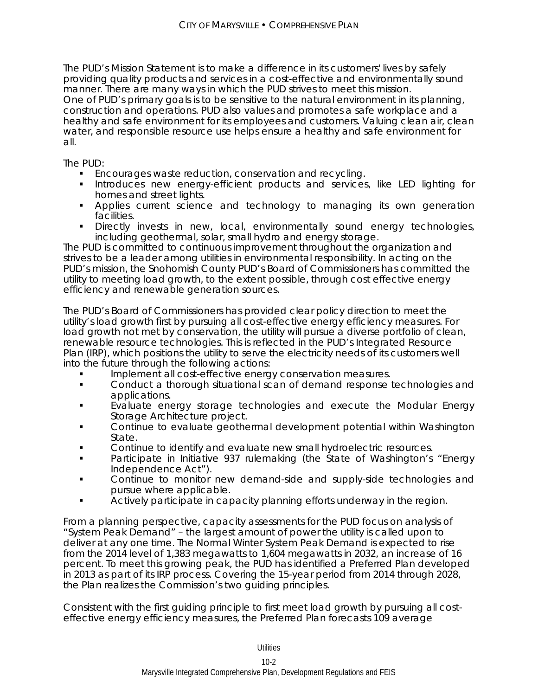The PUD's Mission Statement is to make a difference in its customers' lives by safely providing quality products and services in a cost-effective and environmentally sound manner. There are many ways in which the PUD strives to meet this mission. One of PUD's primary goals is to be sensitive to the natural environment in its planning, construction and operations. PUD also values and promotes a safe workplace and a healthy and safe environment for its employees and customers. Valuing clean air, clean water, and responsible resource use helps ensure a healthy and safe environment for all.

The PUD:

- **Encourages waste reduction, conservation and recycling.**
- **Introduces new energy-efficient products and services, like LED lighting for** homes and street lights.
- Applies current science and technology to managing its own generation facilities.
- Directly invests in new, local, environmentally sound energy technologies, including geothermal, solar, small hydro and energy storage.

The PUD is committed to continuous improvement throughout the organization and strives to be a leader among utilities in environmental responsibility. In acting on the PUD's mission, the Snohomish County PUD's Board of Commissioners has committed the utility to meeting load growth, to the extent possible, through cost effective energy efficiency and renewable generation sources.

The PUD's Board of Commissioners has provided clear policy direction to meet the utility's load growth first by pursuing all cost-effective energy efficiency measures. For load growth not met by conservation, the utility will pursue a diverse portfolio of clean, renewable resource technologies. This is reflected in the PUD's Integrated Resource Plan (IRP), which positions the utility to serve the electricity needs of its customers well into the future through the following actions:

- Implement all cost-effective energy conservation measures.
- Conduct a thorough situational scan of demand response technologies and applications.
- Evaluate energy storage technologies and execute the Modular Energy Storage Architecture project.
- Continue to evaluate geothermal development potential within Washington State.
- Continue to identify and evaluate new small hydroelectric resources.
- Participate in Initiative 937 rulemaking (the State of Washington's "Energy Independence Act").
- Continue to monitor new demand-side and supply-side technologies and pursue where applicable.
- Actively participate in capacity planning efforts underway in the region.

From a planning perspective, capacity assessments for the PUD focus on analysis of "System Peak Demand" – the largest amount of power the utility is called upon to deliver at any one time. The Normal Winter System Peak Demand is expected to rise from the 2014 level of 1,383 megawatts to 1,604 megawatts in 2032, an increase of 16 percent. To meet this growing peak, the PUD has identified a Preferred Plan developed in 2013 as part of its IRP process. Covering the 15-year period from 2014 through 2028, the Plan realizes the Commission's two guiding principles.

Consistent with the first guiding principle to first meet load growth by pursuing all costeffective energy efficiency measures, the Preferred Plan forecasts 109 average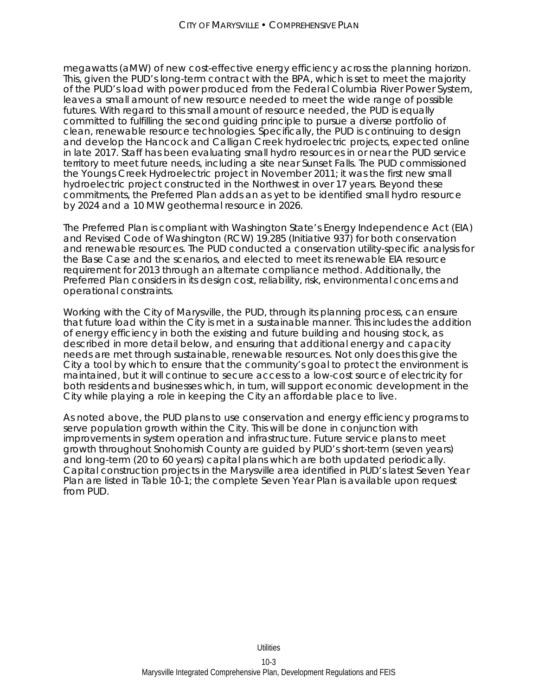megawatts (aMW) of new cost-effective energy efficiency across the planning horizon. This, given the PUD's long-term contract with the BPA, which is set to meet the majority of the PUD's load with power produced from the Federal Columbia River Power System, leaves a small amount of new resource needed to meet the wide range of possible futures. With regard to this small amount of resource needed, the PUD is equally committed to fulfilling the second guiding principle to pursue a diverse portfolio of clean, renewable resource technologies. Specifically, the PUD is continuing to design and develop the Hancock and Calligan Creek hydroelectric projects, expected online in late 2017. Staff has been evaluating small hydro resources in or near the PUD service territory to meet future needs, including a site near Sunset Falls. The PUD commissioned the Youngs Creek Hydroelectric project in November 2011; it was the first new small hydroelectric project constructed in the Northwest in over 17 years. Beyond these commitments, the Preferred Plan adds an as yet to be identified small hydro resource by 2024 and a 10 MW geothermal resource in 2026.

The Preferred Plan is compliant with Washington State's Energy Independence Act (EIA) and Revised Code of Washington (RCW) 19.285 (Initiative 937) for both conservation and renewable resources. The PUD conducted a conservation utility-specific analysis for the Base Case and the scenarios, and elected to meet its renewable EIA resource requirement for 2013 through an alternate compliance method. Additionally, the Preferred Plan considers in its design cost, reliability, risk, environmental concerns and operational constraints.

Working with the City of Marysville, the PUD, through its planning process, can ensure that future load within the City is met in a sustainable manner. This includes the addition of energy efficiency in both the existing and future building and housing stock, as described in more detail below, and ensuring that additional energy and capacity needs are met through sustainable, renewable resources. Not only does this give the City a tool by which to ensure that the community's goal to protect the environment is maintained, but it will continue to secure access to a low-cost source of electricity for both residents and businesses which, in turn, will support economic development in the City while playing a role in keeping the City an affordable place to live.

As noted above, the PUD plans to use conservation and energy efficiency programs to serve population growth within the City. This will be done in conjunction with improvements in system operation and infrastructure. Future service plans to meet growth throughout Snohomish County are guided by PUD's short-term (seven years) and long-term (20 to 60 years) capital plans which are both updated periodically. Capital construction projects in the Marysville area identified in PUD's latest Seven Year Plan are listed in Table 10-1; the complete Seven Year Plan is available upon request from PUD.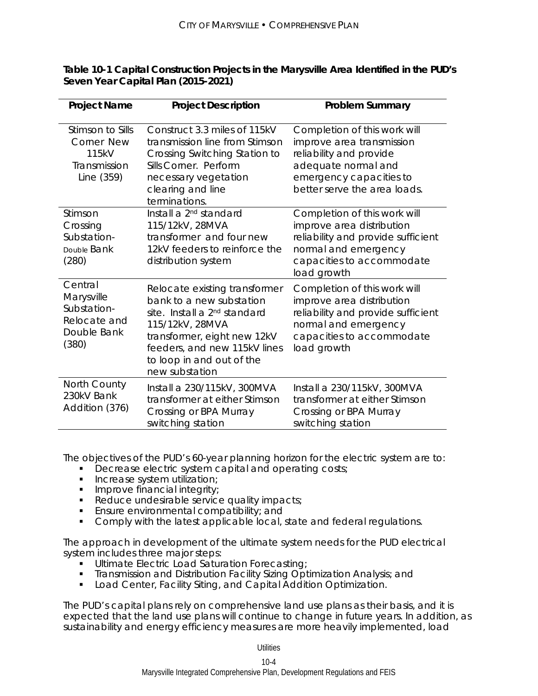| <b>Project Name</b>                                                          | <b>Project Description</b>                                                                                                                                                                                                             | <b>Problem Summary</b>                                                                                                                                                 |
|------------------------------------------------------------------------------|----------------------------------------------------------------------------------------------------------------------------------------------------------------------------------------------------------------------------------------|------------------------------------------------------------------------------------------------------------------------------------------------------------------------|
| Stimson to Sills<br>Corner New<br>115kV<br>Transmission<br>Line (359)        | Construct 3.3 miles of 115kV<br>transmission line from Stimson<br>Crossing Switching Station to<br>Sills Corner. Perform<br>necessary vegetation<br>clearing and line<br>terminations.                                                 | Completion of this work will<br>improve area transmission<br>reliability and provide<br>adequate normal and<br>emergency capacities to<br>better serve the area loads. |
| Stimson<br>Crossing<br>Substation-<br>Double Bank<br>(280)                   | Install a 2 <sup>nd</sup> standard<br>115/12kV, 28MVA<br>transformer and four new<br>12kV feeders to reinforce the<br>distribution system                                                                                              | Completion of this work will<br>improve area distribution<br>reliability and provide sufficient<br>normal and emergency<br>capacities to accommodate<br>load growth    |
| Central<br>Marysville<br>Substation-<br>Relocate and<br>Double Bank<br>(380) | Relocate existing transformer<br>bank to a new substation<br>site. Install a 2 <sup>nd</sup> standard<br>115/12kV, 28MVA<br>transformer, eight new 12kV<br>feeders, and new 115kV lines<br>to loop in and out of the<br>new substation | Completion of this work will<br>improve area distribution<br>reliability and provide sufficient<br>normal and emergency<br>capacities to accommodate<br>load growth    |
| North County<br>230kV Bank<br>Addition (376)                                 | Install a 230/115kV, 300MVA<br>transformer at either Stimson<br>Crossing or BPA Murray<br>switching station                                                                                                                            | Install a 230/115kV, 300MVA<br>transformer at either Stimson<br>Crossing or BPA Murray<br>switching station                                                            |

**Table 10-1 Capital Construction Projects in the Marysville Area Identified in the PUD's Seven Year Capital Plan (2015-2021)** 

The objectives of the PUD's 60-year planning horizon for the electric system are to:

- **Decrease electric system capital and operating costs;**
- **Increase system utilization;**
- **Improve financial integrity;**
- Reduce undesirable service quality impacts;
- **Ensure environmental compatibility; and** <br>**E** Comply with the latest applicable local
- Comply with the latest applicable local, state and federal regulations.

The approach in development of the ultimate system needs for the PUD electrical system includes three major steps:

- **Ultimate Electric Load Saturation Forecasting**
- **Transmission and Distribution Facility Sizing Optimization Analysis; and**
- **Load Center, Facility Siting, and Capital Addition Optimization.**

The PUD's capital plans rely on comprehensive land use plans as their basis, and it is expected that the land use plans will continue to change in future years. In addition, as sustainability and energy efficiency measures are more heavily implemented, load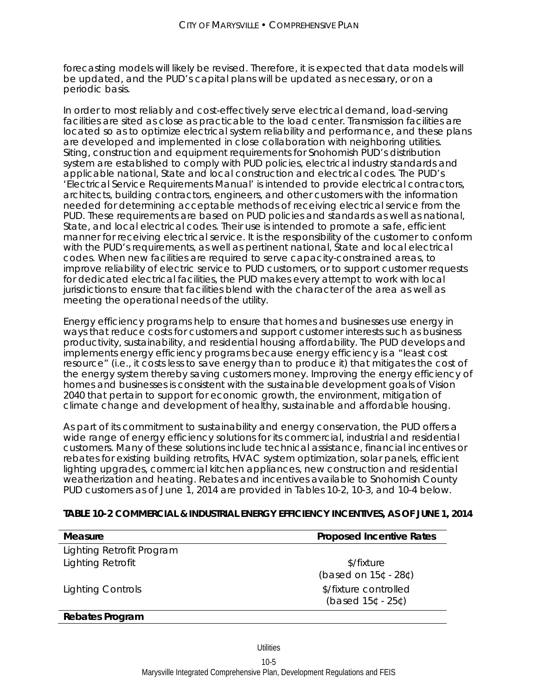forecasting models will likely be revised. Therefore, it is expected that data models will be updated, and the PUD's capital plans will be updated as necessary, or on a periodic basis.

In order to most reliably and cost-effectively serve electrical demand, load-serving facilities are sited as close as practicable to the load center. Transmission facilities are located so as to optimize electrical system reliability and performance, and these plans are developed and implemented in close collaboration with neighboring utilities. Siting, construction and equipment requirements for Snohomish PUD's distribution system are established to comply with PUD policies, electrical industry standards and applicable national, State and local construction and electrical codes. The PUD's 'Electrical Service Requirements Manual' is intended to provide electrical contractors, architects, building contractors, engineers, and other customers with the information needed for determining acceptable methods of receiving electrical service from the PUD. These requirements are based on PUD policies and standards as well as national, State, and local electrical codes. Their use is intended to promote a safe, efficient manner for receiving electrical service. It is the responsibility of the customer to conform with the PUD's requirements, as well as pertinent national, State and local electrical codes. When new facilities are required to serve capacity-constrained areas, to improve reliability of electric service to PUD customers, or to support customer requests for dedicated electrical facilities, the PUD makes every attempt to work with local jurisdictions to ensure that facilities blend with the character of the area as well as meeting the operational needs of the utility.

Energy efficiency programs help to ensure that homes and businesses use energy in ways that reduce costs for customers and support customer interests such as business productivity, sustainability, and residential housing affordability. The PUD develops and implements energy efficiency programs because energy efficiency is a "least cost resource" (i.e., it costs less to save energy than to produce it) that mitigates the cost of the energy system thereby saving customers money. Improving the energy efficiency of homes and businesses is consistent with the sustainable development goals of Vision 2040 that pertain to support for economic growth, the environment, mitigation of climate change and development of healthy, sustainable and affordable housing.

As part of its commitment to sustainability and energy conservation, the PUD offers a wide range of energy efficiency solutions for its commercial, industrial and residential customers. Many of these solutions include technical assistance, financial incentives or rebates for existing building retrofits, HVAC system optimization, solar panels, efficient lighting upgrades, commercial kitchen appliances, new construction and residential weatherization and heating. Rebates and incentives available to Snohomish County PUD customers as of June 1, 2014 are provided in Tables 10-2, 10-3, and 10-4 below.

| Measure                   | <b>Proposed Incentive Rates</b>               |
|---------------------------|-----------------------------------------------|
| Lighting Retrofit Program |                                               |
| Lighting Retrofit         | \$/fixture<br>(based on 15¢ - 28¢)            |
| <b>Lighting Controls</b>  | \$/fixture controlled<br>(based $15¢ - 25¢$ ) |
|                           |                                               |

## **TABLE 10-2 COMMERCIAL & INDUSTRIAL ENERGY EFFICIENCY INCENTIVES, AS OF JUNE 1, 2014**

#### **Rebates Program**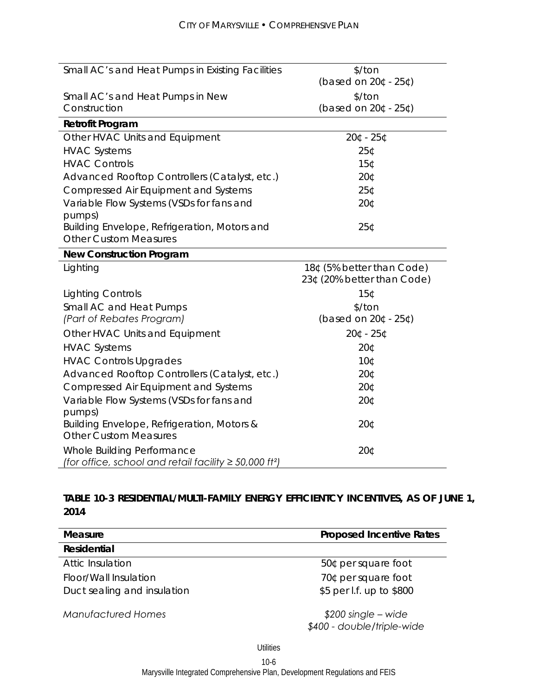j.

| Small AC's and Heat Pumps in Existing Facilities                                                      | \$/ton                     |
|-------------------------------------------------------------------------------------------------------|----------------------------|
|                                                                                                       | (based on 20¢ - 25¢)       |
| Small AC's and Heat Pumps in New                                                                      | \$/ton                     |
| Construction                                                                                          | (based on 20¢ - 25¢)       |
| <b>Retrofit Program</b>                                                                               |                            |
| Other HVAC Units and Equipment                                                                        | 20¢ - 25¢                  |
| <b>HVAC Systems</b>                                                                                   | 25¢                        |
| <b>HVAC Controls</b>                                                                                  | <b>15¢</b>                 |
| Advanced Rooftop Controllers (Catalyst, etc.)                                                         | 20¢                        |
| <b>Compressed Air Equipment and Systems</b>                                                           | 25¢                        |
| Variable Flow Systems (VSDs for fans and                                                              | 20¢                        |
| pumps)                                                                                                |                            |
| Building Envelope, Refrigeration, Motors and                                                          | 25¢                        |
| <b>Other Custom Measures</b>                                                                          |                            |
| <b>New Construction Program</b>                                                                       |                            |
| Lighting                                                                                              | 18¢ (5% better than Code)  |
|                                                                                                       | 23¢ (20% better than Code) |
| <b>Lighting Controls</b>                                                                              | 15¢                        |
| Small AC and Heat Pumps                                                                               | \$/ton                     |
| (Part of Rebates Program)                                                                             | (based on 20¢ - 25¢)       |
|                                                                                                       |                            |
| Other HVAC Units and Equipment                                                                        | 20¢ - 25¢                  |
| <b>HVAC Systems</b>                                                                                   | 20¢                        |
| <b>HVAC Controls Upgrades</b>                                                                         | 10¢                        |
| Advanced Rooftop Controllers (Catalyst, etc.)                                                         | 20¢                        |
| <b>Compressed Air Equipment and Systems</b>                                                           | 20¢                        |
| Variable Flow Systems (VSDs for fans and                                                              | 20¢                        |
| pumps)                                                                                                |                            |
| Building Envelope, Refrigeration, Motors &                                                            | 20¢                        |
| <b>Other Custom Measures</b>                                                                          |                            |
| Whole Building Performance<br>(for office, school and retail facility $\geq 50,000$ ft <sup>2</sup> ) | 20¢                        |

# **TABLE 10-3 RESIDENTIAL/MULTI-FAMILY ENERGY EFFICIENTCY INCENTIVES, AS OF JUNE 1, 2014**

| Measure                     | <b>Proposed Incentive Rates</b>                    |  |
|-----------------------------|----------------------------------------------------|--|
| Residential                 |                                                    |  |
| Attic Insulation            | 50¢ per square foot                                |  |
| Floor/Wall Insulation       | 70¢ per square foot                                |  |
| Duct sealing and insulation | \$5 per l.f. up to \$800                           |  |
| <b>Manufactured Homes</b>   | $$200$ single – wide<br>\$400 - double/triple-wide |  |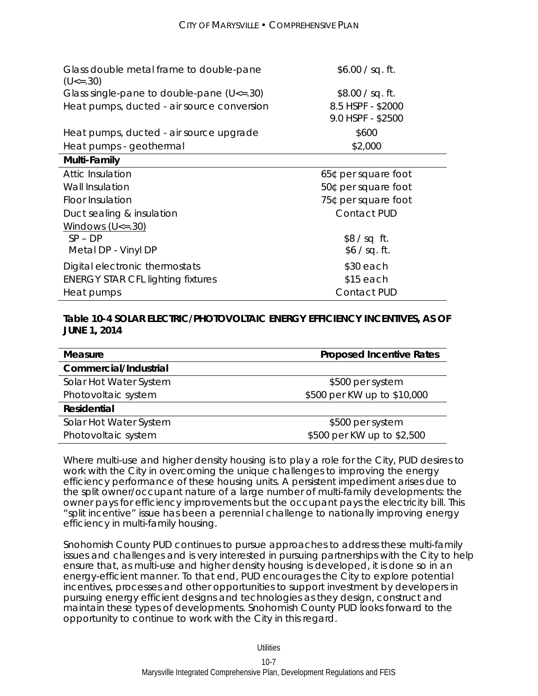| \$600<br>\$2,000  |
|-------------------|
|                   |
|                   |
| 9.0 HSPF - \$2500 |
| 8.5 HSPF - \$2000 |
| \$8.00 / sq. ft.  |
| \$6.00 / sq. ft.  |
|                   |

| <b>Attic Insulation</b>                  | 65¢ per square foot |
|------------------------------------------|---------------------|
| Wall Insulation                          | 50¢ per square foot |
| Floor Insulation                         | 75¢ per square foot |
| Duct sealing & insulation                | <b>Contact PUD</b>  |
| Windows $(U \le 30)$                     |                     |
| $SP - DP$                                | $$8/sq$ ft.         |
| Metal DP - Vinyl DP                      | \$6 / sq. ft.       |
| Digital electronic thermostats           | $$30$ each          |
| <b>ENERGY STAR CFL lighting fixtures</b> | $$15$ each          |
| Heat pumps                               | <b>Contact PUD</b>  |

## **Table 10-4 SOLAR ELECTRIC/PHOTOVOLTAIC ENERGY EFFICIENCY INCENTIVES, AS OF JUNE 1, 2014**

| <b>Measure</b>         | <b>Proposed Incentive Rates</b> |
|------------------------|---------------------------------|
| Commercial/Industrial  |                                 |
| Solar Hot Water System | \$500 per system                |
| Photovoltaic system    | \$500 per KW up to \$10,000     |
| <b>Residential</b>     |                                 |
| Solar Hot Water System | \$500 per system                |
| Photovoltaic system    | \$500 per KW up to \$2,500      |

Where multi-use and higher density housing is to play a role for the City, PUD desires to work with the City in overcoming the unique challenges to improving the energy efficiency performance of these housing units. A persistent impediment arises due to the split owner/occupant nature of a large number of multi-family developments: the owner pays for efficiency improvements but the occupant pays the electricity bill. This "split incentive" issue has been a perennial challenge to nationally improving energy efficiency in multi-family housing.

Snohomish County PUD continues to pursue approaches to address these multi-family issues and challenges and is very interested in pursuing partnerships with the City to help ensure that, as multi-use and higher density housing is developed, it is done so in an energy-efficient manner. To that end, PUD encourages the City to explore potential incentives, processes and other opportunities to support investment by developers in pursuing energy efficient designs and technologies as they design, construct and maintain these types of developments. Snohomish County PUD looks forward to the opportunity to continue to work with the City in this regard.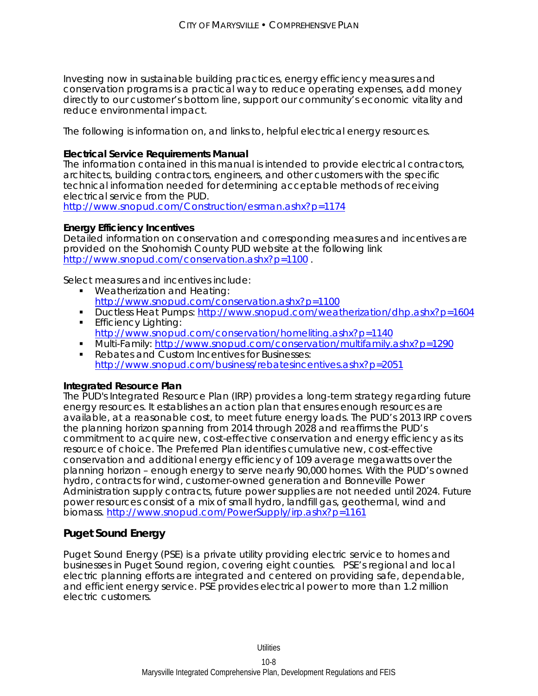Investing now in sustainable building practices, energy efficiency measures and conservation programs is a practical way to reduce operating expenses, add money directly to our customer's bottom line, support our community's economic vitality and reduce environmental impact.

The following is information on, and links to, helpful electrical energy resources.

## **Electrical Service Requirements Manual**

The information contained in this manual is intended to provide electrical contractors, architects, building contractors, engineers, and other customers with the specific technical information needed for determining acceptable methods of receiving electrical service from the PUD.

http://www.snopud.com/Construction/esrman.ashx?p=1174

#### **Energy Efficiency Incentives**

Detailed information on conservation and corresponding measures and incentives are provided on the Snohomish County PUD website at the following link http://www.snopud.com/conservation.ashx?p=1100.

Select measures and incentives include:

- **Weatherization and Heating:** http://www.snopud.com/conservation.ashx?p=1100
- Ductless Heat Pumps: http://www.snopud.com/weatherization/dhp.ashx?p=1604
- **Efficiency Lighting:** http://www.snopud.com/conservation/homeliting.ashx?p=1140
- Multi-Family: http://www.snopud.com/conservation/multifamily.ashx?p=1290
- Rebates and Custom Incentives for Businesses: http://www.snopud.com/business/rebatesincentives.ashx?p=2051

#### **Integrated Resource Plan**

The PUD's Integrated Resource Plan (IRP) provides a long-term strategy regarding future energy resources. It establishes an action plan that ensures enough resources are available, at a reasonable cost, to meet future energy loads. The PUD's 2013 IRP covers the planning horizon spanning from 2014 through 2028 and reaffirms the PUD's commitment to acquire new, cost-effective conservation and energy efficiency as its resource of choice. The Preferred Plan identifies cumulative new, cost-effective conservation and additional energy efficiency of 109 average megawatts over the planning horizon – enough energy to serve nearly 90,000 homes. With the PUD's owned hydro, contracts for wind, customer-owned generation and Bonneville Power Administration supply contracts, future power supplies are not needed until 2024. Future power resources consist of a mix of small hydro, landfill gas, geothermal, wind and biomass. http://www.snopud.com/PowerSupply/irp.ashx?p=1161

# **Puget Sound Energy**

Puget Sound Energy (PSE) is a private utility providing electric service to homes and businesses in Puget Sound region, covering eight counties. PSE's regional and local electric planning efforts are integrated and centered on providing safe, dependable, and efficient energy service. PSE provides electrical power to more than 1.2 million electric customers.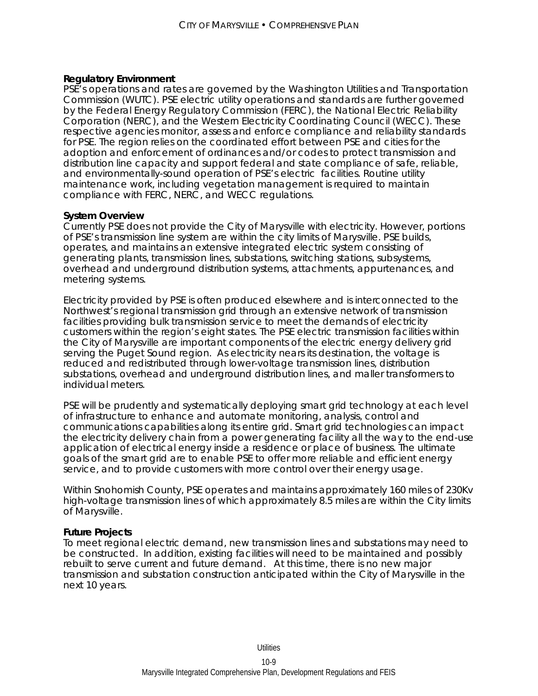#### **Regulatory Environment**

PSE's operations and rates are governed by the Washington Utilities and Transportation Commission (WUTC). PSE electric utility operations and standards are further governed by the Federal Energy Regulatory Commission (FERC), the National Electric Reliability Corporation (NERC), and the Western Electricity Coordinating Council (WECC). These respective agencies monitor, assess and enforce compliance and reliability standards for PSE. The region relies on the coordinated effort between PSE and cities for the adoption and enforcement of ordinances and/or codes to protect transmission and distribution line capacity and support federal and state compliance of safe, reliable, and environmentally-sound operation of PSE's electric facilities. Routine utility maintenance work, including vegetation management is required to maintain compliance with FERC, NERC, and WECC regulations.

#### **System Overview**

Currently PSE does not provide the City of Marysville with electricity. However, portions of PSE's transmission line system are within the city limits of Marysville. PSE builds, operates, and maintains an extensive integrated electric system consisting of generating plants, transmission lines, substations, switching stations, subsystems, overhead and underground distribution systems, attachments, appurtenances, and metering systems.

Electricity provided by PSE is often produced elsewhere and is interconnected to the Northwest's regional transmission grid through an extensive network of transmission facilities providing bulk transmission service to meet the demands of electricity customers within the region's eight states. The PSE electric transmission facilities within the City of Marysville are important components of the electric energy delivery grid serving the Puget Sound region. As electricity nears its destination, the voltage is reduced and redistributed through lower-voltage transmission lines, distribution substations, overhead and underground distribution lines, and maller transformers to individual meters.

PSE will be prudently and systematically deploying smart grid technology at each level of infrastructure to enhance and automate monitoring, analysis, control and communications capabilities along its entire grid. Smart grid technologies can impact the electricity delivery chain from a power generating facility all the way to the end-use application of electrical energy inside a residence or place of business. The ultimate goals of the smart grid are to enable PSE to offer more reliable and efficient energy service, and to provide customers with more control over their energy usage.

Within Snohomish County, PSE operates and maintains approximately 160 miles of 230Kv high-voltage transmission lines of which approximately 8.5 miles are within the City limits of Marysville.

#### **Future Projects**

To meet regional electric demand, new transmission lines and substations may need to be constructed. In addition, existing facilities will need to be maintained and possibly rebuilt to serve current and future demand. At this time, there is no new major transmission and substation construction anticipated within the City of Marysville in the next 10 years.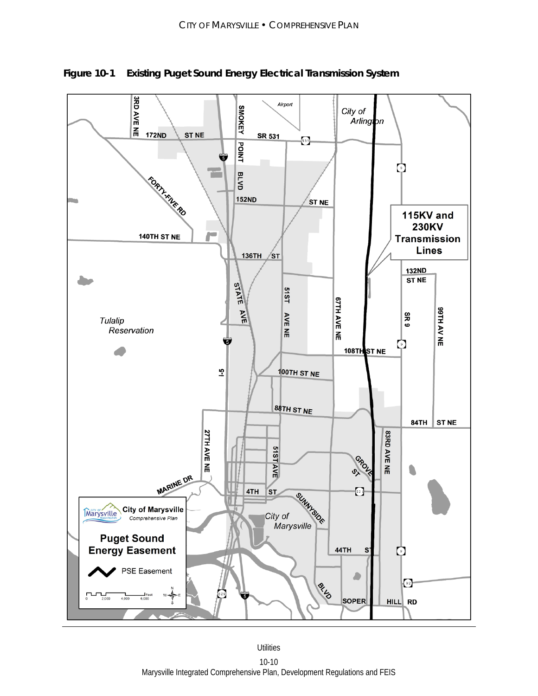

**Figure 10-1 Existing Puget Sound Energy Electrical Transmission System**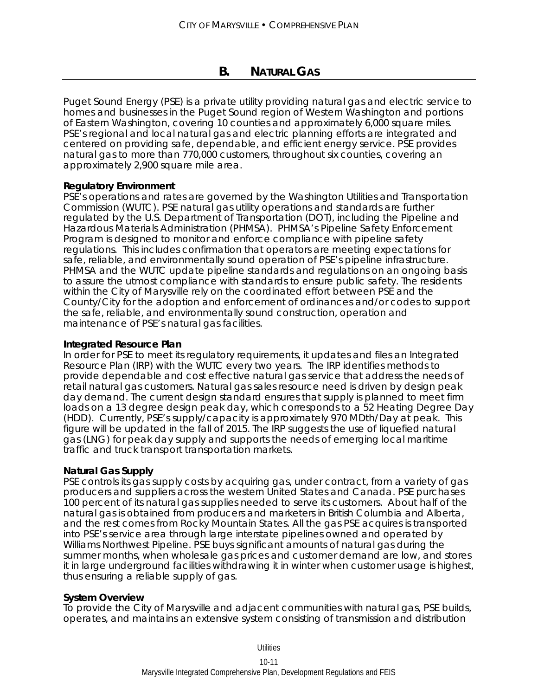# **B. NATURAL GAS**

Puget Sound Energy (PSE) is a private utility providing natural gas and electric service to homes and businesses in the Puget Sound region of Western Washington and portions of Eastern Washington, covering 10 counties and approximately 6,000 square miles. PSE's regional and local natural gas and electric planning efforts are integrated and centered on providing safe, dependable, and efficient energy service. PSE provides natural gas to more than 770,000 customers, throughout six counties, covering an approximately 2,900 square mile area.

#### **Regulatory Environment**

PSE's operations and rates are governed by the Washington Utilities and Transportation Commission (WUTC). PSE natural gas utility operations and standards are further regulated by the U.S. Department of Transportation (DOT), including the Pipeline and Hazardous Materials Administration (PHMSA). PHMSA's Pipeline Safety Enforcement Program is designed to monitor and enforce compliance with pipeline safety regulations. This includes confirmation that operators are meeting expectations for safe, reliable, and environmentally sound operation of PSE's pipeline infrastructure. PHMSA and the WUTC update pipeline standards and regulations on an ongoing basis to assure the utmost compliance with standards to ensure public safety. The residents within the City of Marysville rely on the coordinated effort between PSE and the County/City for the adoption and enforcement of ordinances and/or codes to support the safe, reliable, and environmentally sound construction, operation and maintenance of PSE's natural gas facilities.

#### **Integrated Resource Plan**

In order for PSE to meet its regulatory requirements, it updates and files an Integrated Resource Plan (IRP) with the WUTC every two years. The IRP identifies methods to provide dependable and cost effective natural gas service that address the needs of retail natural gas customers. Natural gas sales resource need is driven by design peak day demand. The current design standard ensures that supply is planned to meet firm loads on a 13 degree design peak day, which corresponds to a 52 Heating Degree Day (HDD). Currently, PSE's supply/capacity is approximately 970 MDth/Day at peak. This figure will be updated in the fall of 2015. The IRP suggests the use of liquefied natural gas (LNG) for peak day supply and supports the needs of emerging local maritime traffic and truck transport transportation markets.

## **Natural Gas Supply**

PSE controls its gas supply costs by acquiring gas, under contract, from a variety of gas producers and suppliers across the western United States and Canada. PSE purchases 100 percent of its natural gas supplies needed to serve its customers. About half of the natural gas is obtained from producers and marketers in British Columbia and Alberta, and the rest comes from Rocky Mountain States. All the gas PSE acquires is transported into PSE's service area through large interstate pipelines owned and operated by Williams Northwest Pipeline. PSE buys significant amounts of natural gas during the summer months, when wholesale gas prices and customer demand are low, and stores it in large underground facilities withdrawing it in winter when customer usage is highest, thus ensuring a reliable supply of gas.

#### **System Overview**

To provide the City of Marysville and adjacent communities with natural gas, PSE builds, operates, and maintains an extensive system consisting of transmission and distribution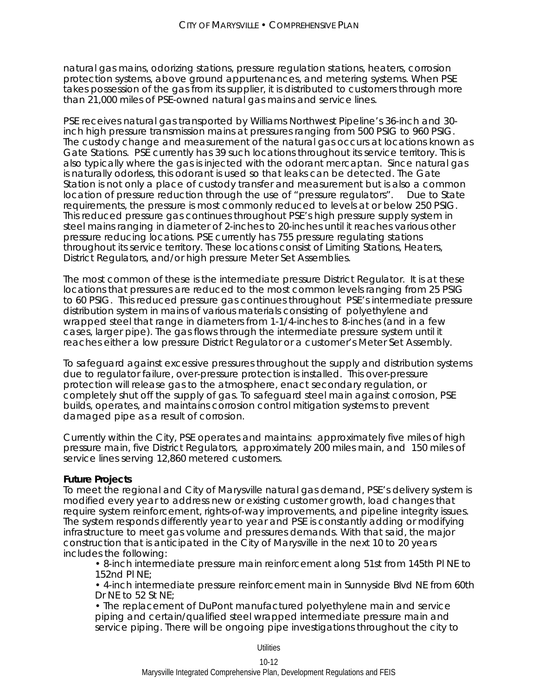natural gas mains, odorizing stations, pressure regulation stations, heaters, corrosion protection systems, above ground appurtenances, and metering systems. When PSE takes possession of the gas from its supplier, it is distributed to customers through more than 21,000 miles of PSE-owned natural gas mains and service lines.

PSE receives natural gas transported by Williams Northwest Pipeline's 36-inch and 30 inch high pressure transmission mains at pressures ranging from 500 PSIG to 960 PSIG. The custody change and measurement of the natural gas occurs at locations known as Gate Stations. PSE currently has 39 such locations throughout its service territory. This is also typically where the gas is injected with the odorant mercaptan. Since natural gas is naturally odorless, this odorant is used so that leaks can be detected. The Gate Station is not only a place of custody transfer and measurement but is also a common location of pressure reduction through the use of "pressure regulators". Due to State requirements, the pressure is most commonly reduced to levels at or below 250 PSIG. This reduced pressure gas continues throughout PSE's high pressure supply system in steel mains ranging in diameter of 2-inches to 20-inches until it reaches various other pressure reducing locations. PSE currently has 755 pressure regulating stations throughout its service territory. These locations consist of Limiting Stations, Heaters, District Regulators, and/or high pressure Meter Set Assemblies.

The most common of these is the intermediate pressure District Regulator. It is at these locations that pressures are reduced to the most common levels ranging from 25 PSIG to 60 PSIG. This reduced pressure gas continues throughout PSE's intermediate pressure distribution system in mains of various materials consisting of polyethylene and wrapped steel that range in diameters from 1-1/4-inches to 8-inches (and in a few cases, larger pipe). The gas flows through the intermediate pressure system until it reaches either a low pressure District Regulator or a customer's Meter Set Assembly.

To safeguard against excessive pressures throughout the supply and distribution systems due to regulator failure, over-pressure protection is installed. This over-pressure protection will release gas to the atmosphere, enact secondary regulation, or completely shut off the supply of gas. To safeguard steel main against corrosion, PSE builds, operates, and maintains corrosion control mitigation systems to prevent damaged pipe as a result of corrosion.

Currently within the City, PSE operates and maintains: approximately five miles of high pressure main, five District Regulators, approximately 200 miles main, and 150 miles of service lines serving 12,860 metered customers.

#### **Future Projects**

To meet the regional and City of Marysville natural gas demand, PSE's delivery system is modified every year to address new or existing customer growth, load changes that require system reinforcement, rights-of-way improvements, and pipeline integrity issues. The system responds differently year to year and PSE is constantly adding or modifying infrastructure to meet gas volume and pressures demands. With that said, the major construction that is anticipated in the City of Marysville in the next 10 to 20 years includes the following:

• 8-inch intermediate pressure main reinforcement along 51st from 145th Pl NE to 152nd Pl NE;

• 4-inch intermediate pressure reinforcement main in Sunnyside Blvd NE from 60th Dr NE to 52 St NE;

• The replacement of DuPont manufactured polyethylene main and service piping and certain/qualified steel wrapped intermediate pressure main and service piping. There will be ongoing pipe investigations throughout the city to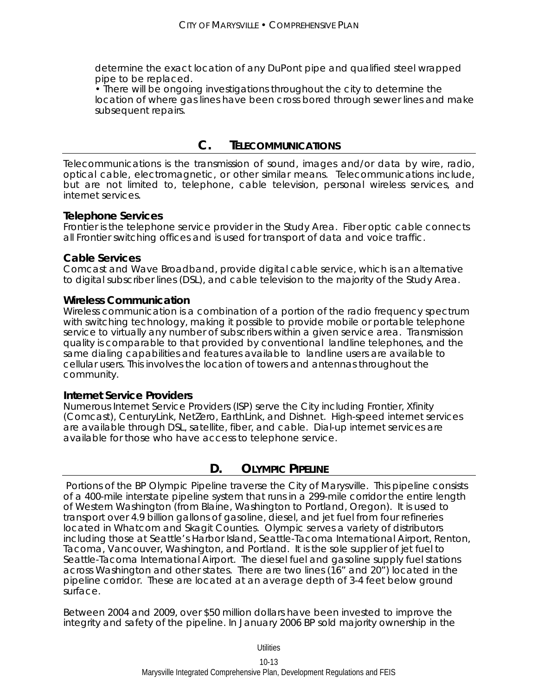determine the exact location of any DuPont pipe and qualified steel wrapped pipe to be replaced.

• There will be ongoing investigations throughout the city to determine the location of where gas lines have been cross bored through sewer lines and make subsequent repairs.

# **C. TELECOMMUNICATIONS**

Telecommunications is the transmission of sound, images and/or data by wire, radio, optical cable, electromagnetic, or other similar means. Telecommunications include, but are not limited to, telephone, cable television, personal wireless services, and internet services.

## **Telephone Services**

Frontier is the telephone service provider in the Study Area. Fiber optic cable connects all Frontier switching offices and is used for transport of data and voice traffic.

#### **Cable Services**

Comcast and Wave Broadband, provide digital cable service, which is an alternative to digital subscriber lines (DSL), and cable television to the majority of the Study Area.

#### **Wireless Communication**

Wireless communication is a combination of a portion of the radio frequency spectrum with switching technology, making it possible to provide mobile or portable telephone service to virtually any number of subscribers within a given service area. Transmission quality is comparable to that provided by conventional landline telephones, and the same dialing capabilities and features available to landline users are available to cellular users. This involves the location of towers and antennas throughout the community.

#### **Internet Service Providers**

Numerous Internet Service Providers (ISP) serve the City including Frontier, Xfinity (Comcast), CenturyLink, NetZero, EarthLink, and Dishnet. High-speed internet services are available through DSL, satellite, fiber, and cable. Dial-up internet services are available for those who have access to telephone service.

# **D. OLYMPIC PIPELINE**

 Portions of the BP Olympic Pipeline traverse the City of Marysville. This pipeline consists of a 400-mile interstate pipeline system that runs in a 299-mile corridor the entire length of Western Washington (from Blaine, Washington to Portland, Oregon). It is used to transport over 4.9 billion gallons of gasoline, diesel, and jet fuel from four refineries located in Whatcom and Skagit Counties. Olympic serves a variety of distributors including those at Seattle's Harbor Island, Seattle-Tacoma International Airport, Renton, Tacoma, Vancouver, Washington, and Portland. It is the sole supplier of jet fuel to Seattle-Tacoma International Airport. The diesel fuel and gasoline supply fuel stations across Washington and other states. There are two lines (16" and 20") located in the pipeline corridor. These are located at an average depth of 3-4 feet below ground surface.

Between 2004 and 2009, over \$50 million dollars have been invested to improve the integrity and safety of the pipeline. In January 2006 BP sold majority ownership in the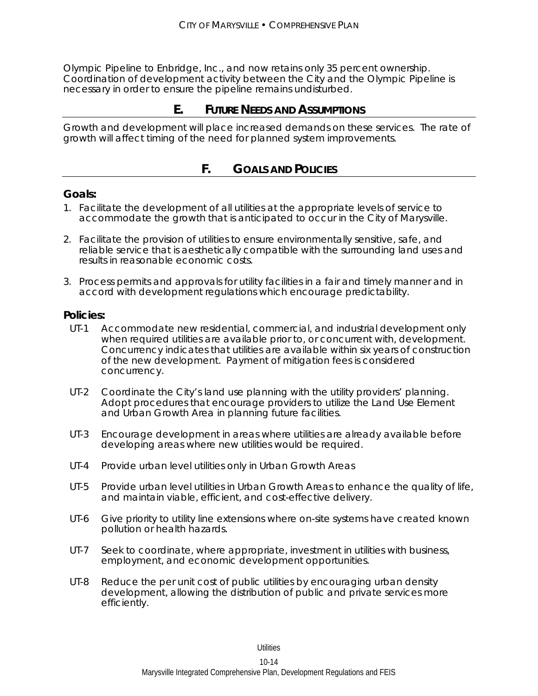Olympic Pipeline to Enbridge, Inc., and now retains only 35 percent ownership. Coordination of development activity between the City and the Olympic Pipeline is necessary in order to ensure the pipeline remains undisturbed.

# **E. FUTURE NEEDS AND ASSUMPTIONS**

Growth and development will place increased demands on these services. The rate of growth will affect timing of the need for planned system improvements.

# **F. GOALS AND POLICIES**

## **Goals:**

- 1. Facilitate the development of all utilities at the appropriate levels of service to accommodate the growth that is anticipated to occur in the City of Marysville.
- 2. Facilitate the provision of utilities to ensure environmentally sensitive, safe, and reliable service that is aesthetically compatible with the surrounding land uses and results in reasonable economic costs.
- 3. Process permits and approvals for utility facilities in a fair and timely manner and in accord with development regulations which encourage predictability.

#### **Policies:**

- UT-1 Accommodate new residential, commercial, and industrial development only when required utilities are available prior to, or concurrent with, development. Concurrency indicates that utilities are available within six years of construction of the new development. Payment of mitigation fees is considered concurrency.
- UT-2 Coordinate the City's land use planning with the utility providers' planning. Adopt procedures that encourage providers to utilize the Land Use Element and Urban Growth Area in planning future facilities.
- UT-3 Encourage development in areas where utilities are already available before developing areas where new utilities would be required.
- UT-4 Provide urban level utilities only in Urban Growth Areas
- UT-5 Provide urban level utilities in Urban Growth Areas to enhance the quality of life, and maintain viable, efficient, and cost-effective delivery.
- UT-6 Give priority to utility line extensions where on-site systems have created known pollution or health hazards.
- UT-7 Seek to coordinate, where appropriate, investment in utilities with business, employment, and economic development opportunities.
- UT-8 Reduce the per unit cost of public utilities by encouraging urban density development, allowing the distribution of public and private services more efficiently.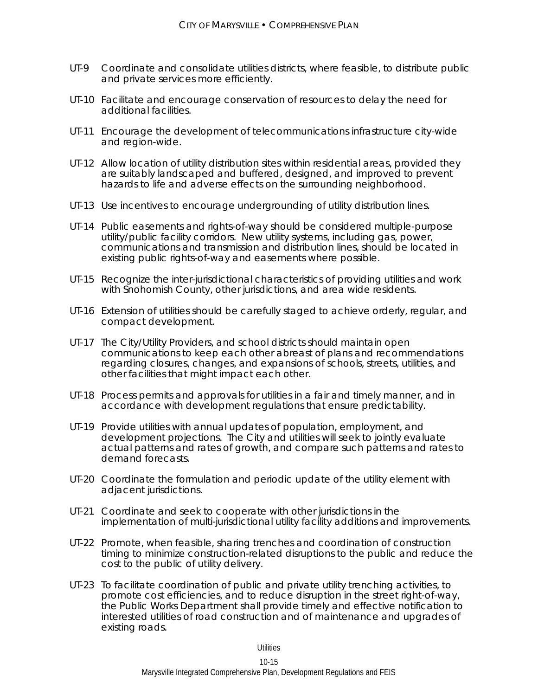- UT-9 Coordinate and consolidate utilities districts, where feasible, to distribute public and private services more efficiently.
- UT-10 Facilitate and encourage conservation of resources to delay the need for additional facilities.
- UT-11 Encourage the development of telecommunications infrastructure city-wide and region-wide.
- UT-12 Allow location of utility distribution sites within residential areas, provided they are suitably landscaped and buffered, designed, and improved to prevent hazards to life and adverse effects on the surrounding neighborhood.
- UT-13 Use incentives to encourage undergrounding of utility distribution lines.
- UT-14 Public easements and rights-of-way should be considered multiple-purpose utility/public facility corridors. New utility systems, including gas, power, communications and transmission and distribution lines, should be located in existing public rights-of-way and easements where possible.
- UT-15 Recognize the inter-jurisdictional characteristics of providing utilities and work with Snohomish County, other jurisdictions, and area wide residents.
- UT-16 Extension of utilities should be carefully staged to achieve orderly, regular, and compact development.
- UT-17 The City/Utility Providers, and school districts should maintain open communications to keep each other abreast of plans and recommendations regarding closures, changes, and expansions of schools, streets, utilities, and other facilities that might impact each other.
- UT-18 Process permits and approvals for utilities in a fair and timely manner, and in accordance with development regulations that ensure predictability.
- UT-19 Provide utilities with annual updates of population, employment, and development projections. The City and utilities will seek to jointly evaluate actual patterns and rates of growth, and compare such patterns and rates to demand forecasts.
- UT-20 Coordinate the formulation and periodic update of the utility element with adjacent jurisdictions.
- UT-21 Coordinate and seek to cooperate with other jurisdictions in the implementation of multi-jurisdictional utility facility additions and improvements.
- UT-22 Promote, when feasible, sharing trenches and coordination of construction timing to minimize construction-related disruptions to the public and reduce the cost to the public of utility delivery.
- UT-23 To facilitate coordination of public and private utility trenching activities, to promote cost efficiencies, and to reduce disruption in the street right-of-way, the Public Works Department shall provide timely and effective notification to interested utilities of road construction and of maintenance and upgrades of existing roads.